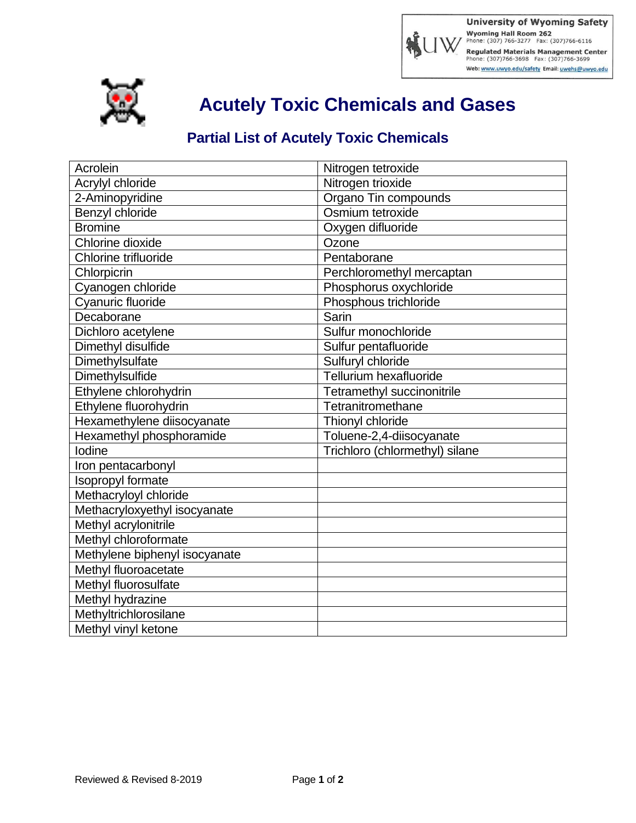Regulated Materials Management Center<br>Phone: (307)766-3698 Fax: (307)766-3699 Web: www.uwyo.edu/safety Email: uwehs@uwyo.edu



**Acutely Toxic Chemicals and Gases**

## **Partial List of Acutely Toxic Chemicals**

| Acrolein                      | Nitrogen tetroxide             |
|-------------------------------|--------------------------------|
| Acrylyl chloride              | Nitrogen trioxide              |
| 2-Aminopyridine               | Organo Tin compounds           |
| Benzyl chloride               | Osmium tetroxide               |
| <b>Bromine</b>                | Oxygen difluoride              |
| Chlorine dioxide              | Ozone                          |
| Chlorine trifluoride          | Pentaborane                    |
| Chlorpicrin                   | Perchloromethyl mercaptan      |
| Cyanogen chloride             | Phosphorus oxychloride         |
| Cyanuric fluoride             | Phosphous trichloride          |
| Decaborane                    | Sarin                          |
| Dichloro acetylene            | Sulfur monochloride            |
| Dimethyl disulfide            | Sulfur pentafluoride           |
| Dimethylsulfate               | Sulfuryl chloride              |
| Dimethylsulfide               | Tellurium hexafluoride         |
| Ethylene chlorohydrin         | Tetramethyl succinonitrile     |
| Ethylene fluorohydrin         | Tetranitromethane              |
| Hexamethylene diisocyanate    | Thionyl chloride               |
| Hexamethyl phosphoramide      | Toluene-2,4-diisocyanate       |
| Iodine                        | Trichloro (chlormethyl) silane |
| Iron pentacarbonyl            |                                |
| Isopropyl formate             |                                |
| Methacryloyl chloride         |                                |
| Methacryloxyethyl isocyanate  |                                |
| Methyl acrylonitrile          |                                |
| Methyl chloroformate          |                                |
| Methylene biphenyl isocyanate |                                |
| Methyl fluoroacetate          |                                |
| Methyl fluorosulfate          |                                |
| Methyl hydrazine              |                                |
| Methyltrichlorosilane         |                                |
| Methyl vinyl ketone           |                                |